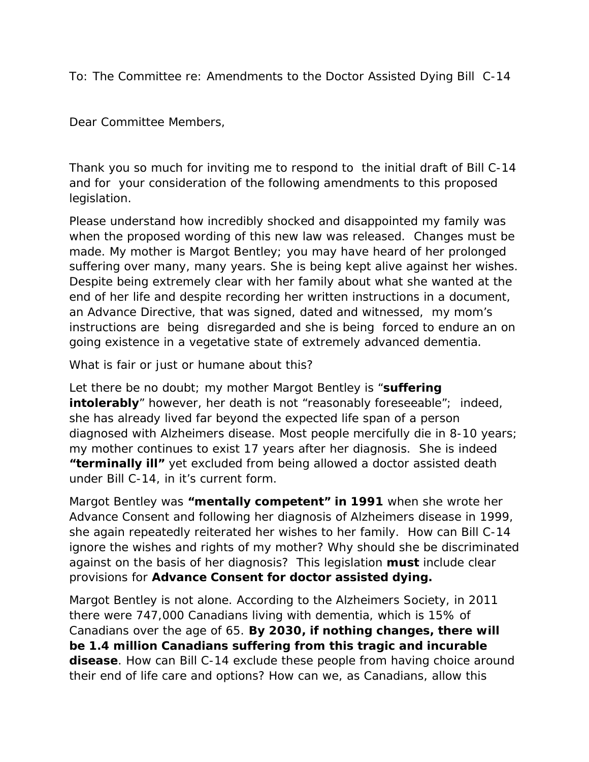To: The Committee re: Amendments to the Doctor Assisted Dying Bill C-14

Dear Committee Members,

Thank you so much for inviting me to respond to the initial draft of Bill C-14 and for your consideration of the following amendments to this proposed legislation.

Please understand how incredibly shocked and disappointed my family was when the proposed wording of this new law was released. Changes must be made. My mother is Margot Bentley; you may have heard of her prolonged suffering over many, many years. She is being kept alive against her wishes. Despite being extremely clear with her family about what she wanted at the end of her life and despite recording her written instructions in a document, an Advance Directive, that was signed, dated and witnessed, my mom's instructions are being disregarded and she is being forced to endure an on going existence in a vegetative state of extremely advanced dementia.

What is fair or just or humane about this?

Let there be no doubt; my mother Margot Bentley is "**suffering intolerably**" however, her death is not "reasonably foreseeable"; indeed, she has already lived far beyond the expected life span of a person diagnosed with Alzheimers disease. Most people mercifully die in 8-10 years; my mother continues to exist 17 years after her diagnosis. She is indeed **"terminally ill"** yet excluded from being allowed a doctor assisted death under Bill C-14, in it's current form.

Margot Bentley was **"mentally competent" in 1991** when she wrote her Advance Consent and following her diagnosis of Alzheimers disease in 1999, she again repeatedly reiterated her wishes to her family. How can Bill C-14 ignore the wishes and rights of my mother? Why should she be discriminated against on the basis of her diagnosis? This legislation **must** include clear provisions for **Advance Consent for doctor assisted dying.**

Margot Bentley is not alone. According to the Alzheimers Society, in 2011 there were 747,000 Canadians living with dementia, which is 15% of Canadians over the age of 65. **By 2030, if nothing changes, there will be 1.4 million Canadians suffering from this tragic and incurable disease**. How can Bill C-14 exclude these people from having choice around their end of life care and options? How can we, as Canadians, allow this